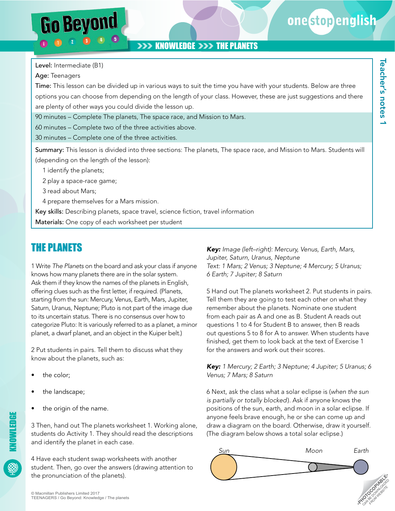onestopenglish

# **XXX KNOWLEDGE XXX THE PLANETS**

Level: Intermediate (B1)

**Go Beyond** 

Age: Teenagers

Time: This lesson can be divided up in various ways to suit the time you have with your students. Below are three options you can choose from depending on the length of your class. However, these are just suggestions and there are plenty of other ways you could divide the lesson up.

90 minutes – Complete The planets, The space race, and Mission to Mars.

60 minutes – Complete two of the three activities above.

30 minutes – Complete one of the three activities.

Summary: This lesson is divided into three sections: The planets, The space race, and Mission to Mars. Students will (depending on the length of the lesson):

1 identify the planets;

2 play a space-race game;

3 read about Mars;

4 prepare themselves for a Mars mission.

Key skills: Describing planets, space travel, science fiction, travel information

Materials: One copy of each worksheet per student

# THE PLANETS

1 Write *The Planets* on the board and ask your class if anyone knows how many planets there are in the solar system. Ask them if they know the names of the planets in English, offering clues such as the first letter, if required. (Planets, starting from the sun: Mercury, Venus, Earth, Mars, Jupiter, Saturn, Uranus, Neptune; Pluto is not part of the image due to its uncertain status. There is no consensus over how to categorize Pluto: It is variously referred to as a planet, a minor planet, a dwarf planet, and an object in the Kuiper belt.)

2 Put students in pairs. Tell them to discuss what they know about the planets, such as:

- the color;
- the landscape;
- the origin of the name.

3 Then, hand out The planets worksheet 1. Working alone, students do Activity 1. They should read the descriptions and identify the planet in each case.

4 Have each student swap worksheets with another student. Then, go over the answers (drawing attention to the pronunciation of the planets).

*Key: Image (left–right): Mercury, Venus, Earth, Mars, Jupiter, Saturn, Uranus, Neptune Text: 1 Mars; 2 Venus; 3 Neptune; 4 Mercury; 5 Uranus; 6 Earth; 7 Jupiter; 8 Saturn*

5 Hand out The planets worksheet 2. Put students in pairs. Tell them they are going to test each other on what they remember about the planets. Nominate one student from each pair as A and one as B. Student A reads out questions 1 to 4 for Student B to answer, then B reads out questions 5 to 8 for A to answer. When students have finished, get them to look back at the text of Exercise 1 for the answers and work out their scores.

*Key: 1 Mercury; 2 Earth; 3 Neptune; 4 Jupiter; 5 Uranus; 6 Venus; 7 Mars; 8 Saturn*

6 Next, ask the class what a solar eclipse is (*when the sun is partially or totally blocked*). Ask if anyone knows the positions of the sun, earth, and moon in a solar eclipse. If anyone feels brave enough, he or she can come up and draw a diagram on the board. Otherwise, draw it yourself. (The diagram below shows a total solar eclipse.)



KNOWLEDGE

**NOWLEDGE**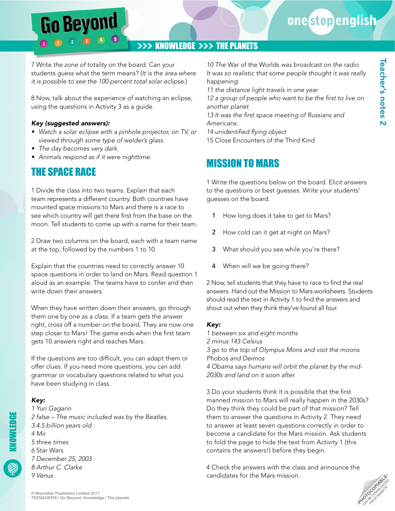# one stop english

Teacher's notes 2

Teacher's notes 2

### **XXX KNOWLEDGE XXX THE PLANETS**

7 Write *the zone of totality* on the board. Can your students guess what the term means? (*It is the area where it is possible to see the 100 percent total solar eclipse.*)

8 Now, talk about the experience of watching an eclipse, using the questions in Activity 3 as a guide.

#### *Key (suggested answers):*

**Go Beyond** 

- *• Watch a solar eclipse with a pinhole projector, on TV, or viewed through some type of welder's glass.*
- *• The day becomes very dark.*
- *• Animals respond as if it were nighttime.*

# THE SPACE RACE

1 Divide the class into two teams. Explain that each team represents a different country. Both countries have mounted space missions to Mars and there is a race to see which country will get there first from the base on the moon. Tell students to come up with a name for their team.

2 Draw two columns on the board, each with a team name at the top, followed by the numbers 1 to 10.

Explain that the countries need to correctly answer 10 space questions in order to land on Mars. Read question 1 aloud as an example. The teams have to confer and then write down their answers.

When they have written down their answers, go through them one by one as a class. If a team gets the answer right, cross off a number on the board. They are now one step closer to Mars! The game ends when the first team gets 10 answers right and reaches Mars.

If the questions are too difficult, you can adapt them or offer clues. If you need more questions, you can add grammar or vocabulary questions related to what you have been studying in class.

### *Key:*

*1 Yuri Gagarin 2 false – The music included was by the Beatles. 3 4.5 billion years old 4 Mir 5 three times 6* Star Wars *7 December 25, 2003 8 Arthur C. Clarke 9 Venus*

*10 The* War of the Worlds *was broadcast on the radio. It was so realistic that some people thought it was really happening.*

*11 the distance light travels in one year*

*12 a group of people who want to be the first to live on another planet*

*13 It was the first space meeting of Russians and Americans.*

*14 unidentified flying object*

15 Close Encounters of the Third Kind

# MISSION TO MARS

1 Write the questions below on the board. Elicit answers to the questions or best guesses. Write your students' guesses on the board.

- 1 How long does it take to get to Mars?
- 2 How cold can it get at night on Mars?
- 3 What should you see while you're there?
- 4 When will we be going there?

2 Now, tell students that they have to race to find the real answers. Hand out the Mission to Mars worksheets. Students should read the text in Activity 1 to find the answers and shout out when they think they've found all four.

#### *Key:*

*1 between six and eight months 2 minus 143 Celsius 3 go to the top of Olympus Mons and visit the moons Phobos and Deimos 4 Obama says humans will orbit the planet by the mid-2030s and land on it soon after.*

3 Do your students think it is possible that the first manned mission to Mars will really happen in the 2030s? Do they think they could be part of that mission? Tell them to answer the questions in Activity 2. They need to answer at least seven questions correctly in order to become a candidate for the Mars mission. Ask students to fold the page to hide the text from Activity 1 (this contains the answers!) before they begin.

4 Check the answers with the class and announce the candidates for the Mars mission.

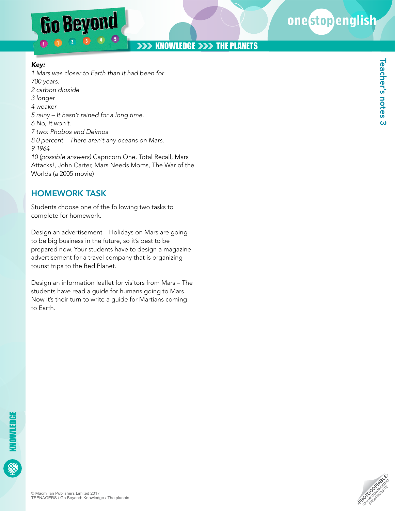# **Go Beyond**  $\bullet$

# onestopenglish

Teacher's notes 3

**Teacher's notes 3** 

# **XXX KNOWLEDGE XXX THE PLANETS**

#### *Key:*

*1 Mars was closer to Earth than it had been for 700 years. 2 carbon dioxide 3 longer 4 weaker 5 rainy – It hasn't rained for a long time. 6 No, it won't. 7 two: Phobos and Deimos 8 0 percent – There aren't any oceans on Mars. 9 1964 10 (possible answers)* Capricorn One, Total Recall, Mars Attacks!, John Carter, Mars Needs Moms, The War of the Worlds (a 2005 movie)

### HOMEWORK TASK

Students choose one of the following two tasks to complete for homework.

Design an advertisement – Holidays on Mars are going to be big business in the future, so it's best to be prepared now. Your students have to design a magazine advertisement for a travel company that is organizing tourist trips to the Red Planet.

Design an information leaflet for visitors from Mars – The students have read a guide for humans going to Mars. Now it's their turn to write a guide for Martians coming to Earth.

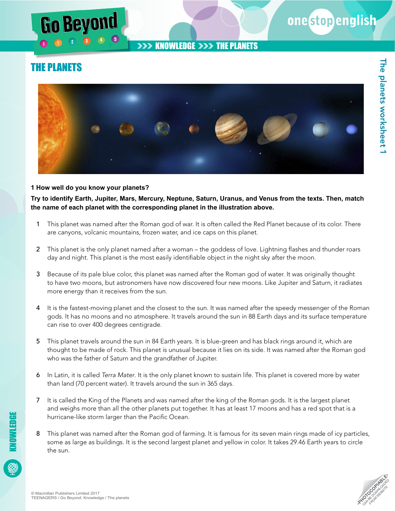### **EXAMPLE SHOWLEDGE DESCRIPTION THE PLANETS**

# THE PLANETS

Beyon



#### **1 How well do you know your planets?**

**Try to identify Earth, Jupiter, Mars, Mercury, Neptune, Saturn, Uranus, and Venus from the texts. Then, match the name of each planet with the corresponding planet in the illustration above.**

- 1 This planet was named after the Roman god of war. It is often called the Red Planet because of its color. There are canyons, volcanic mountains, frozen water, and ice caps on this planet.
- 2 This planet is the only planet named after a woman the goddess of love. Lightning flashes and thunder roars day and night. This planet is the most easily identifiable object in the night sky after the moon.
- 3 Because of its pale blue color, this planet was named after the Roman god of water. It was originally thought to have two moons, but astronomers have now discovered four new moons. Like Jupiter and Saturn, it radiates more energy than it receives from the sun.
- 4 It is the fastest-moving planet and the closest to the sun. It was named after the speedy messenger of the Roman gods. It has no moons and no atmosphere. It travels around the sun in 88 Earth days and its surface temperature can rise to over 400 degrees centigrade.
- 5 This planet travels around the sun in 84 Earth years. It is blue-green and has black rings around it, which are thought to be made of rock. This planet is unusual because it lies on its side. It was named after the Roman god who was the father of Saturn and the grandfather of Jupiter.
- 6 In Latin, it is called *Terra Mater*. It is the only planet known to sustain life. This planet is covered more by water than land (70 percent water). It travels around the sun in 365 days.
- 7 It is called the King of the Planets and was named after the king of the Roman gods. It is the largest planet and weighs more than all the other planets put together. It has at least 17 moons and has a red spot that is a hurricane-like storm larger than the Pacific Ocean.
- 8 This planet was named after the Roman god of farming. It is famous for its seven main rings made of icy particles, some as large as buildings. It is the second largest planet and yellow in color. It takes 29.46 Earth years to circle the sun.



onestopenglish

KNOWLEDGE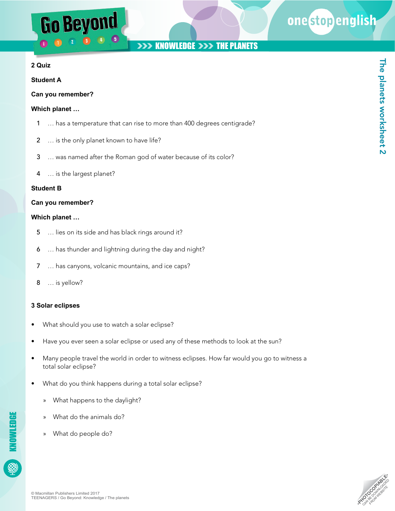# Go Beyond

# one stopenglish

## **XXX KNOWLEDGE XXX THE PLANETS**

#### **2 Quiz**

#### **Student A**

#### **Can you remember?**

#### **Which planet …**

- 1 … has a temperature that can rise to more than 400 degrees centigrade?
- 2 ... is the only planet known to have life?
- 3 … was named after the Roman god of water because of its color?
- 4 … is the largest planet?

#### **Student B**

#### **Can you remember?**

#### **Which planet …**

- 5 … lies on its side and has black rings around it?
- 6 … has thunder and lightning during the day and night?
- 7 … has canyons, volcanic mountains, and ice caps?
- 8 … is yellow?

#### **3 Solar eclipses**

- What should you use to watch a solar eclipse?
- Have you ever seen a solar eclipse or used any of these methods to look at the sun?
- Many people travel the world in order to witness eclipses. How far would you go to witness a total solar eclipse?
- What do you think happens during a total solar eclipse?
	- » What happens to the daylight?
	- » What do the animals do?
	- » What do people do?

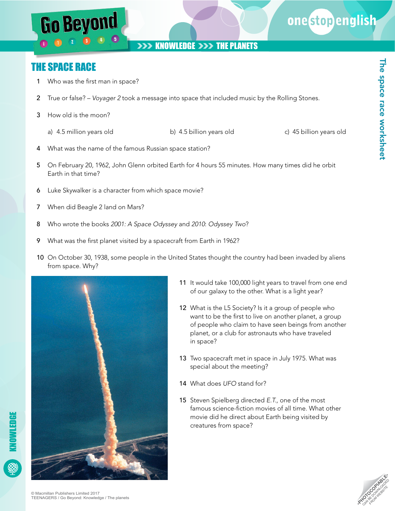

# onestopenglish

The space race worksheet

The space race worksheet

# THE SPACE RACE

1 Who was the first man in space?

**Go Beyond** 

- 2 True or false? *Voyager 2* took a message into space that included music by the Rolling Stones.
- 3 How old is the moon?
	- a) 4.5 million years old b) 4.5 billion years old c) 45 billion years old
- 4 What was the name of the famous Russian space station?
- 5 On February 20, 1962, John Glenn orbited Earth for 4 hours 55 minutes. How many times did he orbit Earth in that time?
- 6 Luke Skywalker is a character from which space movie?
- 7 When did Beagle 2 land on Mars?
- 8 Who wrote the books *2001: A Space Odyssey* and *2010*: *Odyssey Two*?
- 9 What was the first planet visited by a spacecraft from Earth in 1962?
- 10 On October 30, 1938, some people in the United States thought the country had been invaded by aliens from space. Why?



- 11 It would take 100,000 light years to travel from one end of our galaxy to the other. What is a light year?
- 12 What is the L5 Society? Is it a group of people who want to be the first to live on another planet, a group of people who claim to have seen beings from another planet, or a club for astronauts who have traveled in space?
- 13 Two spacecraft met in space in July 1975. What was special about the meeting?
- 14 What does *UFO* stand for?
- 15 Steven Spielberg directed *E.T.*, one of the most famous science-fiction movies of all time. What other movie did he direct about Earth being visited by creatures from space?

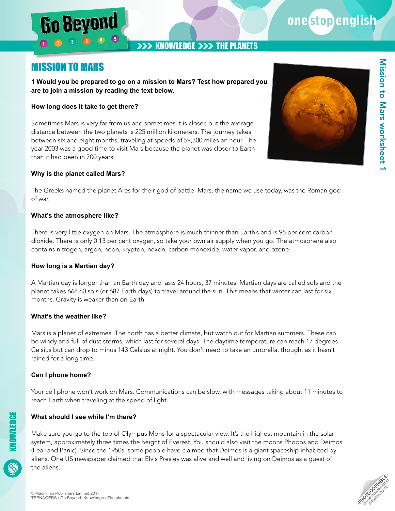### **XXX KNOWLEDGE XXX THE PLANETS**

# MISSION TO MARS

Go Beyon

**1 Would you be prepared to go on a mission to Mars? Test how prepared you are to join a mission by reading the text below.**

#### **How long does it take to get there?**

Sometimes Mars is very far from us and sometimes it is closer, but the average distance between the two planets is 225 million kilometers. The journey takes between six and eight months, traveling at speeds of 59,300 miles an hour. The year 2003 was a good time to visit Mars because the planet was closer to Earth than it had been in 700 years.

#### **Why is the planet called Mars?**

The Greeks named the planet Ares for their god of battle. Mars, the name we use today, was the Roman god of war.

#### **What's the atmosphere like?**

There is very little oxygen on Mars. The atmosphere is much thinner than Earth's and is 95 per cent carbon dioxide. There is only 0.13 per cent oxygen, so take your own air supply when you go. The atmosphere also contains nitrogen, argon, neon, krypton, nexon, carbon monoxide, water vapor, and ozone.

#### **How long is a Martian day?**

A Martian day is longer than an Earth day and lasts 24 hours, 37 minutes. Martian days are called sols and the planet takes 668.60 sols (or 687 Earth days) to travel around the sun. This means that winter can last for six months. Gravity is weaker than on Earth.

#### **What's the weather like?**

Mars is a planet of extremes. The north has a better climate, but watch out for Martian summers. These can be windy and full of dust storms, which last for several days. The daytime temperature can reach 17 degrees Celsius but can drop to minus 143 Celsius at night. You don't need to take an umbrella, though, as it hasn't rained for a long time.

#### **Can I phone home?**

Your cell phone won't work on Mars. Communications can be slow, with messages taking about 11 minutes to reach Earth when traveling at the speed of light.

#### **What should I see while I'm there?**

Make sure you go to the top of Olympus Mons for a spectacular view. It's the highest mountain in the solar system, approximately three times the height of Everest. You should also visit the moons Phobos and Deimos (Fear and Panic). Since the 1950s, some people have claimed that Deimos is a giant spaceship inhabited by aliens. One US newspaper claimed that Elvis Presley was alive and well and living on Deimos as a guest of the aliens.



onestopenglish